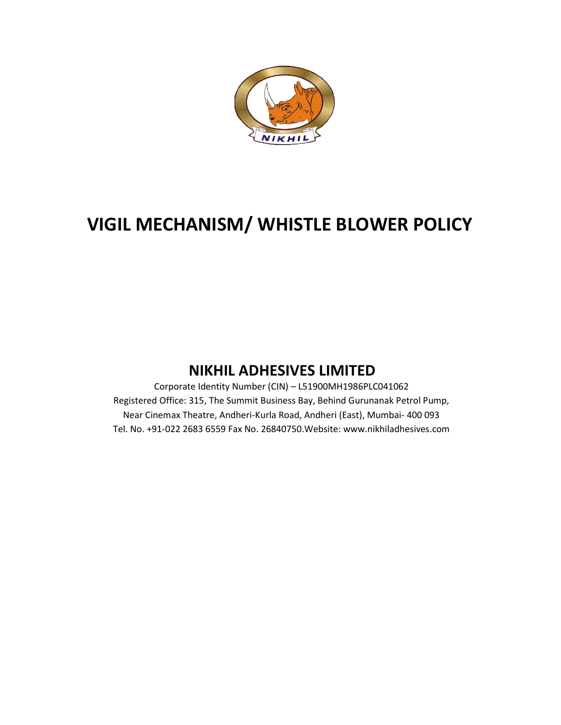

# VIGIL MECHANISM/ WHISTLE BLOWER POLICY

# NIKHIL ADHESIVES LIMITED NIKHIL ADHESIVES

Corporate Identity Number (CIN) – L51900MH1986PLC041062 Registered Office: 315, The Summit Business Bay, Behind Gurunanak Petrol Pump, Near Cinemax Theatre, Andheri Near Cinemax Theatre, Andheri-Kurla Road, Andheri (East), Mumbai- 400 093 Tel. No. +91-022 2683 6559 Fax No. 26840750.Website: www.nikhiladhesives.com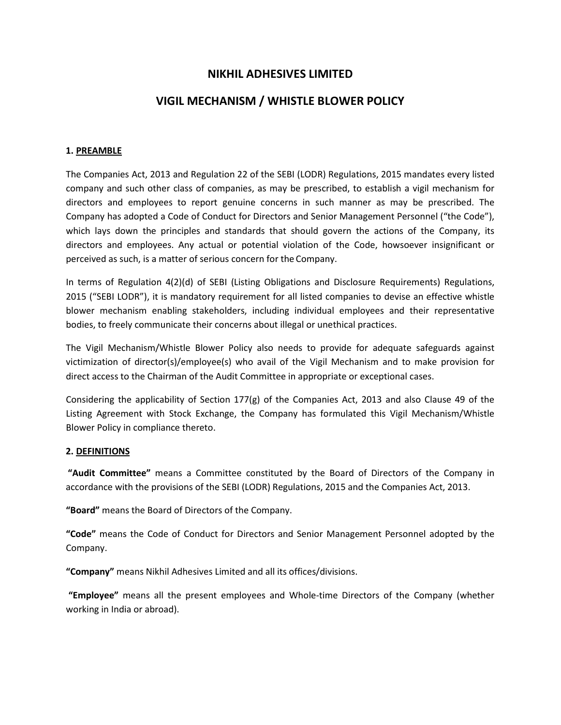## NIKHIL ADHESIVES LIMITED

### VIGIL MECHANISM / WHISTLE BLOWER POLICY

#### 1. PREAMBLE

The Companies Act, 2013 and Regulation 22 of the SEBI (LODR) Regulations, 2015 mandates every listed company and such other class of companies, as may be prescribed, to establish a vigil mechanism for directors and employees to report genuine concerns in such manner as may be prescribed. The Company has adopted a Code of Conduct for Directors and Senior Management Personnel ("the Code"), which lays down the principles and standards that should govern the actions of the Company, its directors and employees. Any actual or potential violation of the Code, howsoever insignificant or perceived as such, is a matter of serious concern for the Company.

In terms of Regulation 4(2)(d) of SEBI (Listing Obligations and Disclosure Requirements) Regulations, 2015 ("SEBI LODR"), it is mandatory requirement for all listed companies to devise an effective whistle blower mechanism enabling stakeholders, including individual employees and their representative bodies, to freely communicate their concerns about illegal or unethical practices.

The Vigil Mechanism/Whistle Blower Policy also needs to provide for adequate safeguards against victimization of director(s)/employee(s) who avail of the Vigil Mechanism and to make provision for direct access to the Chairman of the Audit Committee in appropriate or exceptional cases.

Considering the applicability of Section 177(g) of the Companies Act, 2013 and also Clause 49 of the Listing Agreement with Stock Exchange, the Company has formulated this Vigil Mechanism/Whistle Blower Policy in compliance thereto.

#### 2. DEFINITIONS

"Audit Committee" means a Committee constituted by the Board of Directors of the Company in accordance with the provisions of the SEBI (LODR) Regulations, 2015 and the Companies Act, 2013.

"Board" means the Board of Directors of the Company.

"Code" means the Code of Conduct for Directors and Senior Management Personnel adopted by the Company.

"Company" means Nikhil Adhesives Limited and all its offices/divisions.

"Employee" means all the present employees and Whole-time Directors of the Company (whether working in India or abroad).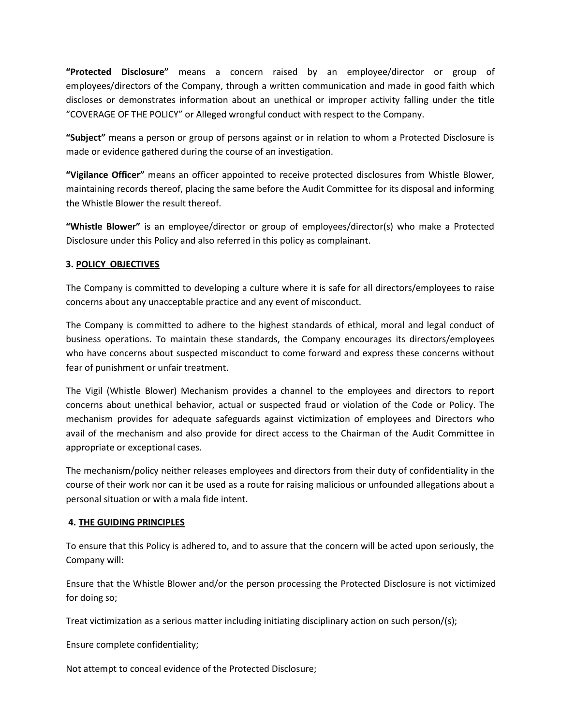"Protected Disclosure" means a concern raised by an employee/director or group of employees/directors of the Company, through a written communication and made in good faith which discloses or demonstrates information about an unethical or improper activity falling under the title "COVERAGE OF THE POLICY" or Alleged wrongful conduct with respect to the Company.

"Subject" means a person or group of persons against or in relation to whom a Protected Disclosure is made or evidence gathered during the course of an investigation.

"Vigilance Officer" means an officer appointed to receive protected disclosures from Whistle Blower, maintaining records thereof, placing the same before the Audit Committee for its disposal and informing the Whistle Blower the result thereof.

"Whistle Blower" is an employee/director or group of employees/director(s) who make a Protected Disclosure under this Policy and also referred in this policy as complainant.

#### 3. POLICY OBJECTIVES

The Company is committed to developing a culture where it is safe for all directors/employees to raise concerns about any unacceptable practice and any event of misconduct.

The Company is committed to adhere to the highest standards of ethical, moral and legal conduct of business operations. To maintain these standards, the Company encourages its directors/employees who have concerns about suspected misconduct to come forward and express these concerns without fear of punishment or unfair treatment.

The Vigil (Whistle Blower) Mechanism provides a channel to the employees and directors to report concerns about unethical behavior, actual or suspected fraud or violation of the Code or Policy. The mechanism provides for adequate safeguards against victimization of employees and Directors who avail of the mechanism and also provide for direct access to the Chairman of the Audit Committee in appropriate or exceptional cases.

The mechanism/policy neither releases employees and directors from their duty of confidentiality in the course of their work nor can it be used as a route for raising malicious or unfounded allegations about a personal situation or with a mala fide intent.

#### 4. THE GUIDING PRINCIPLES

To ensure that this Policy is adhered to, and to assure that the concern will be acted upon seriously, the Company will:

Ensure that the Whistle Blower and/or the person processing the Protected Disclosure is not victimized for doing so;

Treat victimization as a serious matter including initiating disciplinary action on such person/(s);

Ensure complete confidentiality;

Not attempt to conceal evidence of the Protected Disclosure;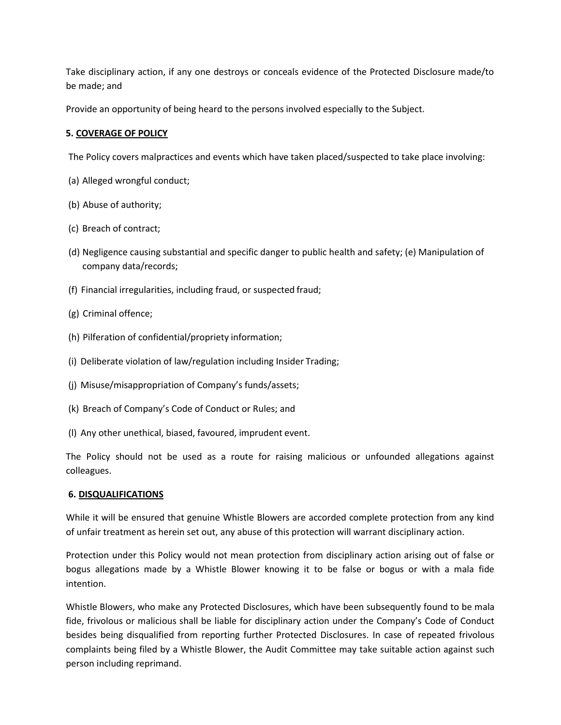Take disciplinary action, if any one destroys or conceals evidence of the Protected Disclosure made/to be made; and

Provide an opportunity of being heard to the persons involved especially to the Subject.

#### 5. COVERAGE OF POLICY

The Policy covers malpractices and events which have taken placed/suspected to take place involving:

- (a) Alleged wrongful conduct;
- (b) Abuse of authority;
- (c) Breach of contract;
- (d) Negligence causing substantial and specific danger to public health and safety; (e) Manipulation of company data/records;
- (f) Financial irregularities, including fraud, or suspected fraud;
- (g) Criminal offence;
- (h) Pilferation of confidential/propriety information;
- (i) Deliberate violation of law/regulation including Insider Trading;
- (j) Misuse/misappropriation of Company's funds/assets;
- (k) Breach of Company's Code of Conduct or Rules; and
- (l) Any other unethical, biased, favoured, imprudent event.

The Policy should not be used as a route for raising malicious or unfounded allegations against colleagues.

#### 6. DISQUALIFICATIONS

While it will be ensured that genuine Whistle Blowers are accorded complete protection from any kind of unfair treatment as herein set out, any abuse of this protection will warrant disciplinary action.

Protection under this Policy would not mean protection from disciplinary action arising out of false or bogus allegations made by a Whistle Blower knowing it to be false or bogus or with a mala fide intention.

Whistle Blowers, who make any Protected Disclosures, which have been subsequently found to be mala fide, frivolous or malicious shall be liable for disciplinary action under the Company's Code of Conduct besides being disqualified from reporting further Protected Disclosures. In case of repeated frivolous complaints being filed by a Whistle Blower, the Audit Committee may take suitable action against such person including reprimand.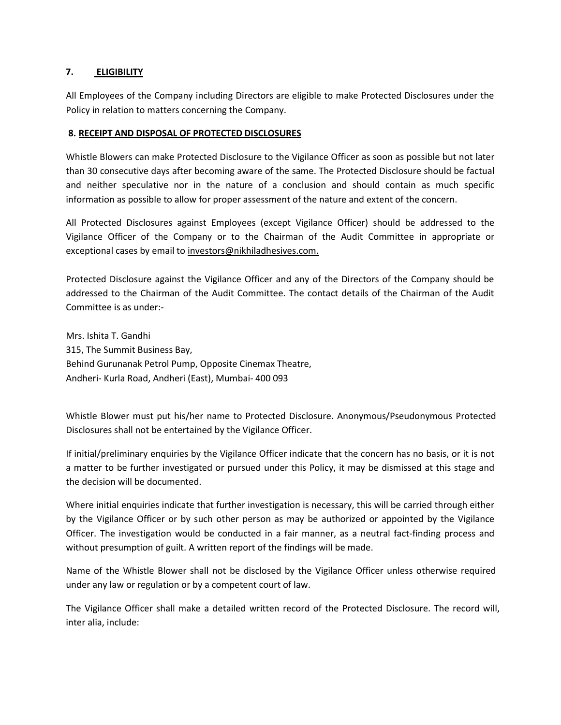#### 7. ELIGIBILITY

All Employees of the Company including Directors are eligible to make Protected Disclosures under the Policy in relation to matters concerning the Company.

#### 8. RECEIPT AND DISPOSAL OF PROTECTED DISCLOSURES

Whistle Blowers can make Protected Disclosure to the Vigilance Officer as soon as possible but not later than 30 consecutive days after becoming aware of the same. The Protected Disclosure should be factual and neither speculative nor in the nature of a conclusion and should contain as much specific information as possible to allow for proper assessment of the nature and extent of the concern.

All Protected Disclosures against Employees (except Vigilance Officer) should be addressed to the Vigilance Officer of the Company or to the Chairman of the Audit Committee in appropriate or exceptional cases by email to investors@nikhiladhesives.com.

Protected Disclosure against the Vigilance Officer and any of the Directors of the Company should be addressed to the Chairman of the Audit Committee. The contact details of the Chairman of the Audit Committee is as under:-

Mrs. Ishita T. Gandhi 315, The Summit Business Bay, Behind Gurunanak Petrol Pump, Opposite Cinemax Theatre, Andheri- Kurla Road, Andheri (East), Mumbai- 400 093

Whistle Blower must put his/her name to Protected Disclosure. Anonymous/Pseudonymous Protected Disclosures shall not be entertained by the Vigilance Officer.

If initial/preliminary enquiries by the Vigilance Officer indicate that the concern has no basis, or it is not a matter to be further investigated or pursued under this Policy, it may be dismissed at this stage and the decision will be documented.

Where initial enquiries indicate that further investigation is necessary, this will be carried through either by the Vigilance Officer or by such other person as may be authorized or appointed by the Vigilance Officer. The investigation would be conducted in a fair manner, as a neutral fact-finding process and without presumption of guilt. A written report of the findings will be made.

Name of the Whistle Blower shall not be disclosed by the Vigilance Officer unless otherwise required under any law or regulation or by a competent court of law.

The Vigilance Officer shall make a detailed written record of the Protected Disclosure. The record will, inter alia, include: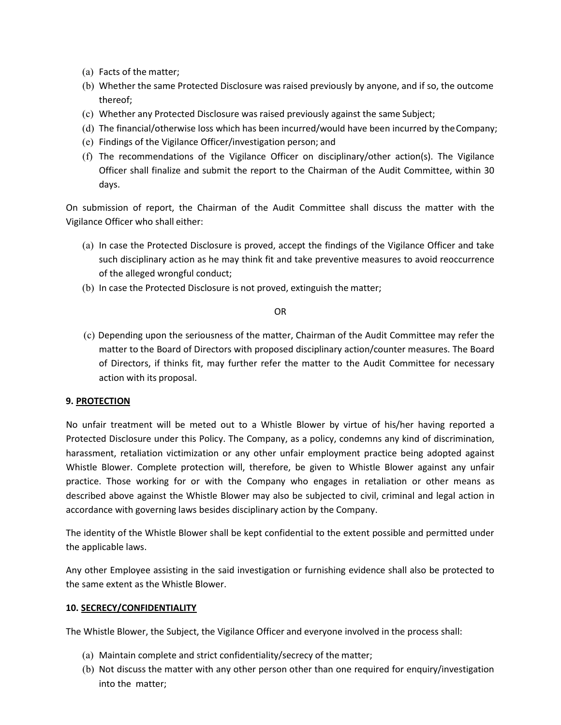- (a) Facts of the matter;
- (b) Whether the same Protected Disclosure was raised previously by anyone, and if so, the outcome thereof;
- (c) Whether any Protected Disclosure was raised previously against the same Subject;
- (d) The financial/otherwise loss which has been incurred/would have been incurred by the Company;
- (e) Findings of the Vigilance Officer/investigation person; and
- (f) The recommendations of the Vigilance Officer on disciplinary/other action(s). The Vigilance Officer shall finalize and submit the report to the Chairman of the Audit Committee, within 30 days.

On submission of report, the Chairman of the Audit Committee shall discuss the matter with the Vigilance Officer who shall either:

- (a) In case the Protected Disclosure is proved, accept the findings of the Vigilance Officer and take such disciplinary action as he may think fit and take preventive measures to avoid reoccurrence of the alleged wrongful conduct;
- (b) In case the Protected Disclosure is not proved, extinguish the matter;

#### OR

(c) Depending upon the seriousness of the matter, Chairman of the Audit Committee may refer the matter to the Board of Directors with proposed disciplinary action/counter measures. The Board of Directors, if thinks fit, may further refer the matter to the Audit Committee for necessary action with its proposal.

#### 9. PROTECTION

No unfair treatment will be meted out to a Whistle Blower by virtue of his/her having reported a Protected Disclosure under this Policy. The Company, as a policy, condemns any kind of discrimination, harassment, retaliation victimization or any other unfair employment practice being adopted against Whistle Blower. Complete protection will, therefore, be given to Whistle Blower against any unfair practice. Those working for or with the Company who engages in retaliation or other means as described above against the Whistle Blower may also be subjected to civil, criminal and legal action in accordance with governing laws besides disciplinary action by the Company.

The identity of the Whistle Blower shall be kept confidential to the extent possible and permitted under the applicable laws.

Any other Employee assisting in the said investigation or furnishing evidence shall also be protected to the same extent as the Whistle Blower.

#### 10. SECRECY/CONFIDENTIALITY

The Whistle Blower, the Subject, the Vigilance Officer and everyone involved in the process shall:

- (a) Maintain complete and strict confidentiality/secrecy of the matter;
- (b) Not discuss the matter with any other person other than one required for enquiry/investigation into the matter;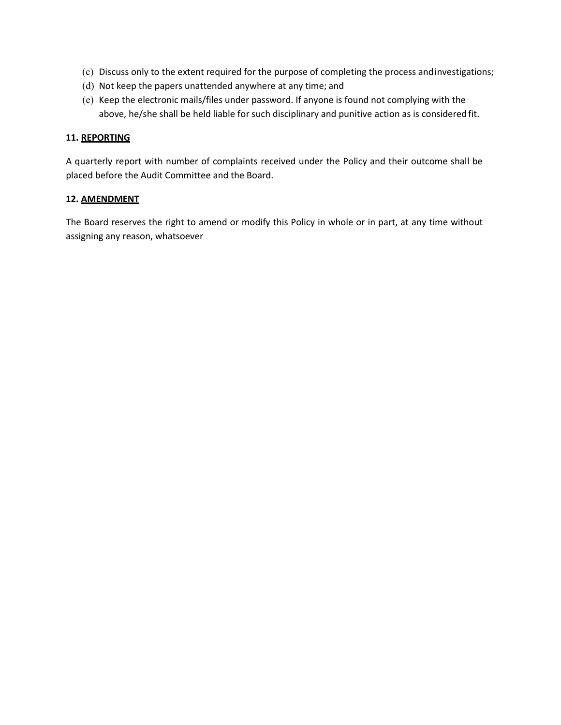- (c) Discuss only to the extent required for the purpose of completing the process and investigations;
- (d) Not keep the papers unattended anywhere at any time; and
- (e) Keep the electronic mails/files under password. If anyone is found not complying with the above, he/she shall be held liable for such disciplinary and punitive action as is considered fit.

#### 11. REPORTING

A quarterly report with number of complaints received under the Policy and their outcome shall be placed before the Audit Committee and the Board.

#### 12. AMENDMENT

The Board reserves the right to amend or modify this Policy in whole or in part, at any time without assigning any reason, whatsoever